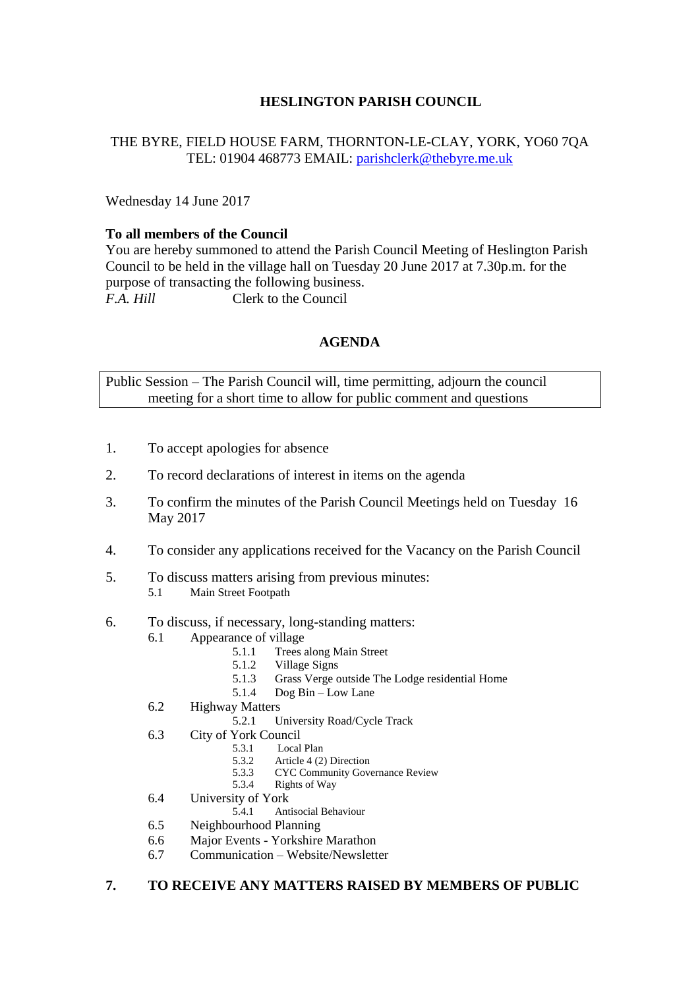# **HESLINGTON PARISH COUNCIL**

## THE BYRE, FIELD HOUSE FARM, THORNTON-LE-CLAY, YORK, YO60 7QA TEL: 01904 468773 EMAIL: [parishclerk@thebyre.me.uk](mailto:parishclerk@thebyre.me.uk)

Wednesday 14 June 2017

### **To all members of the Council**

You are hereby summoned to attend the Parish Council Meeting of Heslington Parish Council to be held in the village hall on Tuesday 20 June 2017 at 7.30p.m. for the purpose of transacting the following business. *F.A. Hill* Clerk to the Council

# **AGENDA**

Public Session – The Parish Council will, time permitting, adjourn the council meeting for a short time to allow for public comment and questions

- 1. To accept apologies for absence
- 2. To record declarations of interest in items on the agenda
- 3. To confirm the minutes of the Parish Council Meetings held on Tuesday 16 May 2017
- 4. To consider any applications received for the Vacancy on the Parish Council
- 5. To discuss matters arising from previous minutes: 5.1 Main Street Footpath
- 6. To discuss, if necessary, long-standing matters:
	- 6.1 Appearance of village
		- 5.1.1 Trees along Main Street
		- 5.1.2 Village Signs
		- 5.1.3 Grass Verge outside The Lodge residential Home
		- 5.1.4 Dog Bin Low Lane
	- 6.2 Highway Matters
		- 5.2.1 University Road/Cycle Track
	- 6.3 City of York Council
		- 5.3.1 Local Plan
		- 5.3.2 Article 4 (2) Direction
		- 5.3.3 CYC Community Governance Review
		- 5.3.4 Rights of Way
	- 6.4 University of York<br>5.4.1 Ant
		- 5.4.1 Antisocial Behaviour
	- 6.5 Neighbourhood Planning
	- 6.6 Major Events Yorkshire Marathon
	- 6.7 Communication Website/Newsletter

#### **7. TO RECEIVE ANY MATTERS RAISED BY MEMBERS OF PUBLIC**